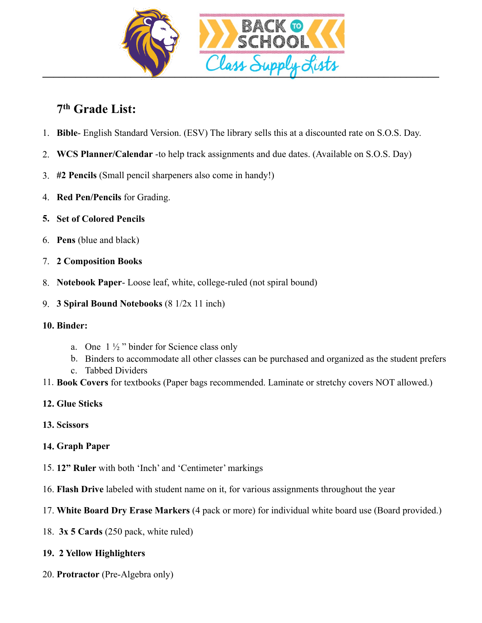

## **7th Grade List:**

- 1. **Bible** English Standard Version. (ESV) The library sells this at a discounted rate on S.O.S. Day.
- 2. **WCS Planner/Calendar** -to help track assignments and due dates. (Available on S.O.S. Day)
- 3. **#2 Pencils** (Small pencil sharpeners also come in handy!)
- 4. **Red Pen/Pencils** for Grading.
- **5. Set of Colored Pencils**
- 6. **Pens** (blue and black)
- 7. **2 Composition Books**
- 8. **Notebook Paper** Loose leaf, white, college-ruled (not spiral bound)
- 9. **3 Spiral Bound Notebooks** (8 1/2x 11 inch)
- **10. Binder:** 
	- a. One  $1\frac{1}{2}$  " binder for Science class only
	- b. Binders to accommodate all other classes can be purchased and organized as the student prefers
	- c. Tabbed Dividers
- 11. **Book Covers** for textbooks (Paper bags recommended. Laminate or stretchy covers NOT allowed.)
- **12. Glue Sticks**
- **13. Scissors**
- **14. Graph Paper**
- 15. **12" Ruler** with both 'Inch' and 'Centimeter' markings
- 16. **Flash Drive** labeled with student name on it, for various assignments throughout the year
- 17. **White Board Dry Erase Markers** (4 pack or more) for individual white board use (Board provided.)
- 18. **3x 5 Cards** (250 pack, white ruled)

## **19. 2 Yellow Highlighters**

20. **Protractor** (Pre-Algebra only)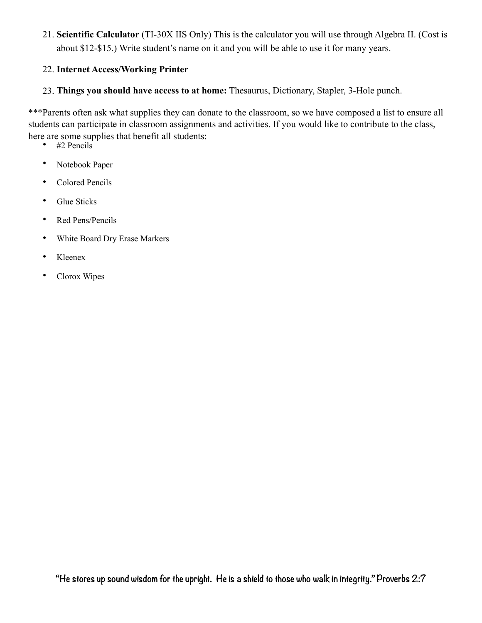21. **Scientific Calculator** (TI-30X IIS Only) This is the calculator you will use through Algebra II. (Cost is about \$12-\$15.) Write student's name on it and you will be able to use it for many years.

### 22. **Internet Access/Working Printer**

23. **Things you should have access to at home:** Thesaurus, Dictionary, Stapler, 3-Hole punch.

\*\*\*Parents often ask what supplies they can donate to the classroom, so we have composed a list to ensure all students can participate in classroom assignments and activities. If you would like to contribute to the class, here are some supplies that benefit all students:

- #2 Pencils
- Notebook Paper
- Colored Pencils
- Glue Sticks
- Red Pens/Pencils
- White Board Dry Erase Markers
- Kleenex
- Clorox Wipes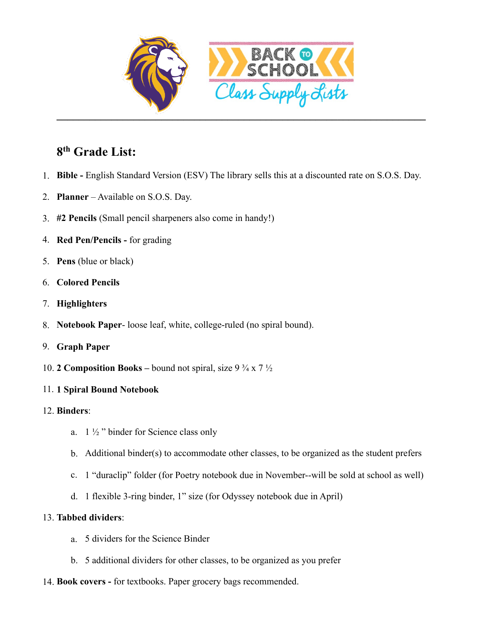

# **8th Grade List:**

- 1. **Bible** English Standard Version (ESV) The library sells this at a discounted rate on S.O.S. Day.
- 2. **Planner** Available on S.O.S. Day.
- 3. **#2 Pencils** (Small pencil sharpeners also come in handy!)
- 4. **Red Pen/Pencils** for grading
- 5. **Pens** (blue or black)
- 6. **Colored Pencils**
- 7. **Highlighters**
- 8. **Notebook Paper** loose leaf, white, college-ruled (no spiral bound).
- 9. **Graph Paper**
- 10. **2 Composition Books** bound not spiral, size  $9\frac{3}{4} \times 7\frac{1}{2}$
- 11. **1 Spiral Bound Notebook**
- 12. **Binders**:
	- a.  $1\frac{1}{2}$  " binder for Science class only
	- b. Additional binder(s) to accommodate other classes, to be organized as the student prefers
	- c. 1 "duraclip" folder (for Poetry notebook due in November--will be sold at school as well)
	- d. 1 flexible 3-ring binder, 1" size (for Odyssey notebook due in April)

## 13. **Tabbed dividers**:

- a. 5 dividers for the Science Binder
- b. 5 additional dividers for other classes, to be organized as you prefer
- 14. **Book covers -** for textbooks. Paper grocery bags recommended.